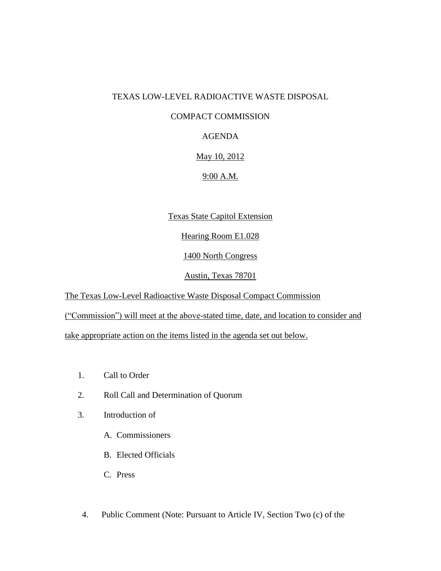#### TEXAS LOW-LEVEL RADIOACTIVE WASTE DISPOSAL

### COMPACT COMMISSION

## AGENDA

### May 10, 2012

# 9:00 A.M.

# Texas State Capitol Extension

Hearing Room E1.028

#### 1400 North Congress

### Austin, Texas 78701

The Texas Low-Level Radioactive Waste Disposal Compact Commission

("Commission") will meet at the above-stated time, date, and location to consider and

take appropriate action on the items listed in the agenda set out below.

- 1. Call to Order
- 2. Roll Call and Determination of Quorum
- 3. Introduction of
	- A. Commissioners
	- B. Elected Officials
	- C. Press
- 4. Public Comment (Note: Pursuant to Article IV, Section Two (c) of the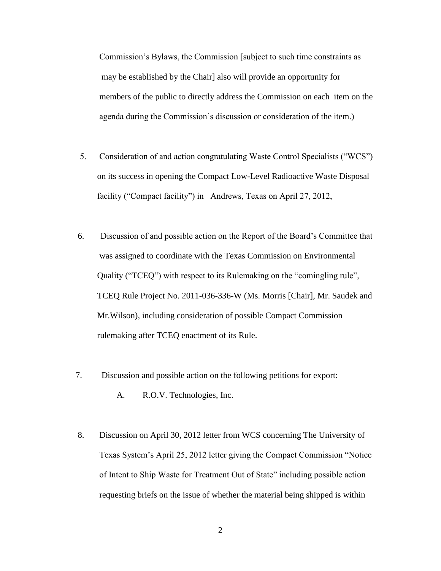Commission's Bylaws, the Commission [subject to such time constraints as may be established by the Chair] also will provide an opportunity for members of the public to directly address the Commission on each item on the agenda during the Commission's discussion or consideration of the item.)

- 5. Consideration of and action congratulating Waste Control Specialists ("WCS") on its success in opening the Compact Low-Level Radioactive Waste Disposal facility ("Compact facility") in Andrews, Texas on April 27, 2012,
- 6. Discussion of and possible action on the Report of the Board's Committee that was assigned to coordinate with the Texas Commission on Environmental Quality ("TCEQ") with respect to its Rulemaking on the "comingling rule", TCEQ Rule Project No. 2011-036-336-W (Ms. Morris [Chair], Mr. Saudek and Mr.Wilson), including consideration of possible Compact Commission rulemaking after TCEQ enactment of its Rule.
- 7. Discussion and possible action on the following petitions for export:
	- A. R.O.V. Technologies, Inc.
- 8. Discussion on April 30, 2012 letter from WCS concerning The University of Texas System's April 25, 2012 letter giving the Compact Commission "Notice of Intent to Ship Waste for Treatment Out of State" including possible action requesting briefs on the issue of whether the material being shipped is within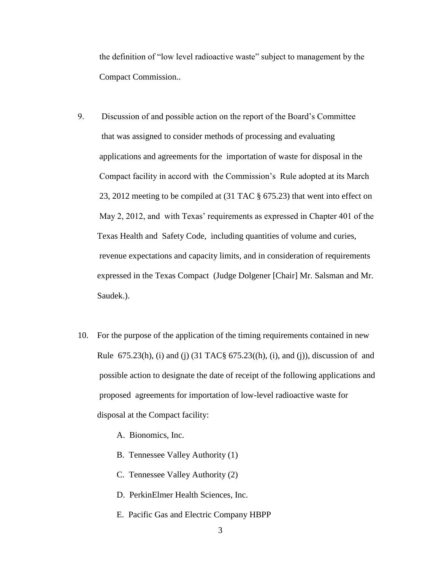the definition of "low level radioactive waste" subject to management by the Compact Commission..

- 9. Discussion of and possible action on the report of the Board's Committee that was assigned to consider methods of processing and evaluating applications and agreements for the importation of waste for disposal in the Compact facility in accord with the Commission's Rule adopted at its March 23, 2012 meeting to be compiled at (31 TAC § 675.23) that went into effect on May 2, 2012, and with Texas' requirements as expressed in Chapter 401 of the Texas Health and Safety Code, including quantities of volume and curies, revenue expectations and capacity limits, and in consideration of requirements expressed in the Texas Compact (Judge Dolgener [Chair] Mr. Salsman and Mr. Saudek.).
- 10. For the purpose of the application of the timing requirements contained in new Rule  $675.23(h)$ , (i) and (j)  $(31 \text{ TAC} \S 675.23(h), (i), \text{ and } (i))$ , discussion of and possible action to designate the date of receipt of the following applications and proposed agreements for importation of low-level radioactive waste for disposal at the Compact facility:
	- A. Bionomics, Inc.
	- B. Tennessee Valley Authority (1)
	- C. Tennessee Valley Authority (2)
	- D. PerkinElmer Health Sciences, Inc.
	- E. Pacific Gas and Electric Company HBPP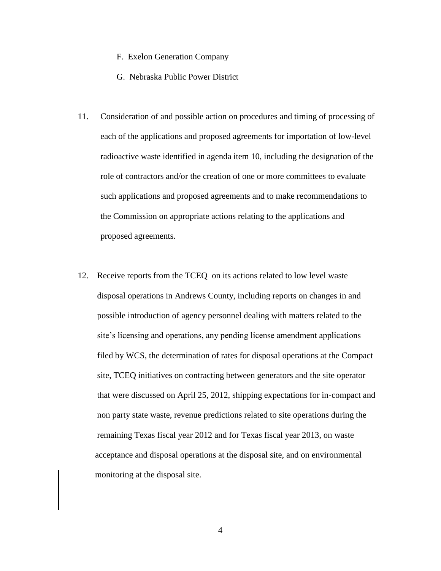- F. Exelon Generation Company
- G. Nebraska Public Power District
- 11. Consideration of and possible action on procedures and timing of processing of each of the applications and proposed agreements for importation of low-level radioactive waste identified in agenda item 10, including the designation of the role of contractors and/or the creation of one or more committees to evaluate such applications and proposed agreements and to make recommendations to the Commission on appropriate actions relating to the applications and proposed agreements.
- 12. Receive reports from the TCEQ on its actions related to low level waste disposal operations in Andrews County, including reports on changes in and possible introduction of agency personnel dealing with matters related to the site's licensing and operations, any pending license amendment applications filed by WCS, the determination of rates for disposal operations at the Compact site, TCEQ initiatives on contracting between generators and the site operator that were discussed on April 25, 2012, shipping expectations for in-compact and non party state waste, revenue predictions related to site operations during the remaining Texas fiscal year 2012 and for Texas fiscal year 2013, on waste acceptance and disposal operations at the disposal site, and on environmental monitoring at the disposal site.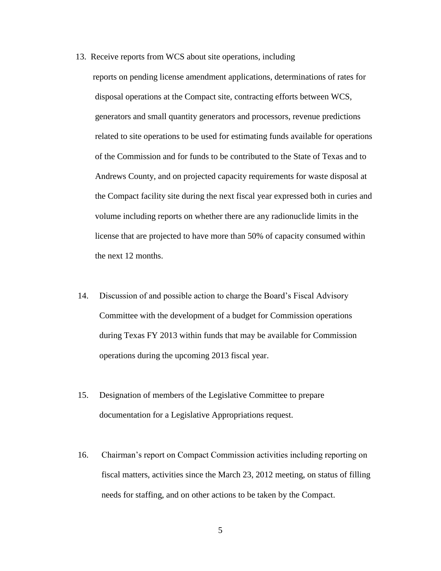13. Receive reports from WCS about site operations, including

 reports on pending license amendment applications, determinations of rates for disposal operations at the Compact site, contracting efforts between WCS, generators and small quantity generators and processors, revenue predictions related to site operations to be used for estimating funds available for operations of the Commission and for funds to be contributed to the State of Texas and to Andrews County, and on projected capacity requirements for waste disposal at the Compact facility site during the next fiscal year expressed both in curies and volume including reports on whether there are any radionuclide limits in the license that are projected to have more than 50% of capacity consumed within the next 12 months.

- 14. Discussion of and possible action to charge the Board's Fiscal Advisory Committee with the development of a budget for Commission operations during Texas FY 2013 within funds that may be available for Commission operations during the upcoming 2013 fiscal year.
- 15. Designation of members of the Legislative Committee to prepare documentation for a Legislative Appropriations request.
- 16. Chairman's report on Compact Commission activities including reporting on fiscal matters, activities since the March 23, 2012 meeting, on status of filling needs for staffing, and on other actions to be taken by the Compact.